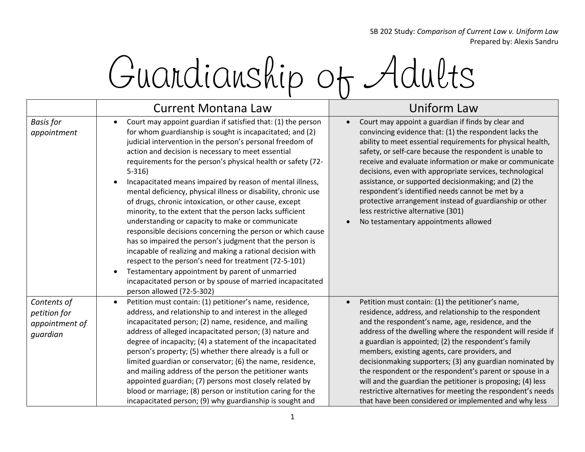SB 202 Study: *Comparison of Current Law v. Uniform Law* Prepared by: Alexis Sandru



|                                                           | <b>Current Montana Law</b>                                                                                                                                                                                                                                                                                                                                                                                                                                                                                                                                                                                                                                                                                                                                                                                                                                                                                                                                                                                                                                               | Uniform Law                                                                                                                                                                                                                                                                                                                                                                                                                                                                                                                                                                                                                                              |
|-----------------------------------------------------------|--------------------------------------------------------------------------------------------------------------------------------------------------------------------------------------------------------------------------------------------------------------------------------------------------------------------------------------------------------------------------------------------------------------------------------------------------------------------------------------------------------------------------------------------------------------------------------------------------------------------------------------------------------------------------------------------------------------------------------------------------------------------------------------------------------------------------------------------------------------------------------------------------------------------------------------------------------------------------------------------------------------------------------------------------------------------------|----------------------------------------------------------------------------------------------------------------------------------------------------------------------------------------------------------------------------------------------------------------------------------------------------------------------------------------------------------------------------------------------------------------------------------------------------------------------------------------------------------------------------------------------------------------------------------------------------------------------------------------------------------|
| <b>Basis for</b><br>appointment                           | Court may appoint guardian if satisfied that: (1) the person<br>$\bullet$<br>for whom guardianship is sought is incapacitated; and (2)<br>judicial intervention in the person's personal freedom of<br>action and decision is necessary to meet essential<br>requirements for the person's physical health or safety (72-<br>$5 - 316$<br>Incapacitated means impaired by reason of mental illness,<br>$\bullet$<br>mental deficiency, physical illness or disability, chronic use<br>of drugs, chronic intoxication, or other cause, except<br>minority, to the extent that the person lacks sufficient<br>understanding or capacity to make or communicate<br>responsible decisions concerning the person or which cause<br>has so impaired the person's judgment that the person is<br>incapable of realizing and making a rational decision with<br>respect to the person's need for treatment (72-5-101)<br>Testamentary appointment by parent of unmarried<br>$\bullet$<br>incapacitated person or by spouse of married incapacitated<br>person allowed (72-5-302) | Court may appoint a guardian if finds by clear and<br>convincing evidence that: (1) the respondent lacks the<br>ability to meet essential requirements for physical health,<br>safety, or self-care because the respondent is unable to<br>receive and evaluate information or make or communicate<br>decisions, even with appropriate services, technological<br>assistance, or supported decisionmaking; and (2) the<br>respondent's identified needs cannot be met by a<br>protective arrangement instead of guardianship or other<br>less restrictive alternative (301)<br>No testamentary appointments allowed                                      |
| Contents of<br>petition for<br>appointment of<br>quardian | Petition must contain: (1) petitioner's name, residence,<br>$\bullet$<br>address, and relationship to and interest in the alleged<br>incapacitated person; (2) name, residence, and mailing<br>address of alleged incapacitated person; (3) nature and<br>degree of incapacity; (4) a statement of the incapacitated<br>person's property; (5) whether there already is a full or<br>limited guardian or conservator; (6) the name, residence,<br>and mailing address of the person the petitioner wants<br>appointed guardian; (7) persons most closely related by<br>blood or marriage; (8) person or institution caring for the<br>incapacitated person; (9) why guardianship is sought and                                                                                                                                                                                                                                                                                                                                                                           | Petition must contain: (1) the petitioner's name,<br>residence, address, and relationship to the respondent<br>and the respondent's name, age, residence, and the<br>address of the dwelling where the respondent will reside if<br>a guardian is appointed; (2) the respondent's family<br>members, existing agents, care providers, and<br>decisionmaking supporters; (3) any guardian nominated by<br>the respondent or the respondent's parent or spouse in a<br>will and the guardian the petitioner is proposing; (4) less<br>restrictive alternatives for meeting the respondent's needs<br>that have been considered or implemented and why less |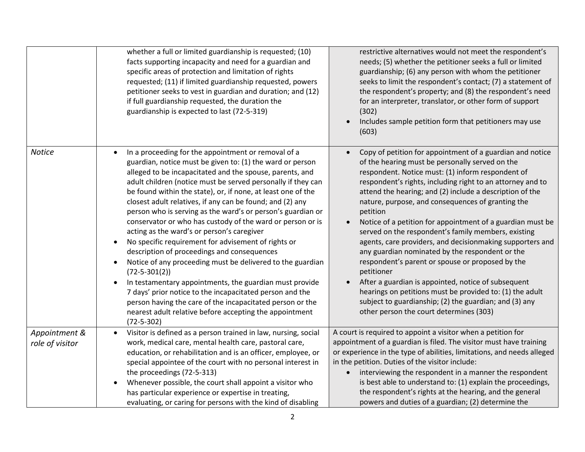|                                  | whether a full or limited guardianship is requested; (10)<br>facts supporting incapacity and need for a guardian and<br>specific areas of protection and limitation of rights<br>requested; (11) if limited guardianship requested, powers<br>petitioner seeks to vest in guardian and duration; and (12)<br>if full guardianship requested, the duration the<br>guardianship is expected to last (72-5-319)                                                                                                                                                                                                                                                                                                                                                                                                                                                                                                                                                                                                                                                           | restrictive alternatives would not meet the respondent's<br>needs; (5) whether the petitioner seeks a full or limited<br>guardianship; (6) any person with whom the petitioner<br>seeks to limit the respondent's contact; (7) a statement of<br>the respondent's property; and (8) the respondent's need<br>for an interpreter, translator, or other form of support<br>(302)<br>Includes sample petition form that petitioners may use<br>(603)                                                                                                                                                                                                                                                                                                                                                                                                                                           |
|----------------------------------|------------------------------------------------------------------------------------------------------------------------------------------------------------------------------------------------------------------------------------------------------------------------------------------------------------------------------------------------------------------------------------------------------------------------------------------------------------------------------------------------------------------------------------------------------------------------------------------------------------------------------------------------------------------------------------------------------------------------------------------------------------------------------------------------------------------------------------------------------------------------------------------------------------------------------------------------------------------------------------------------------------------------------------------------------------------------|---------------------------------------------------------------------------------------------------------------------------------------------------------------------------------------------------------------------------------------------------------------------------------------------------------------------------------------------------------------------------------------------------------------------------------------------------------------------------------------------------------------------------------------------------------------------------------------------------------------------------------------------------------------------------------------------------------------------------------------------------------------------------------------------------------------------------------------------------------------------------------------------|
| <b>Notice</b>                    | In a proceeding for the appointment or removal of a<br>$\bullet$<br>guardian, notice must be given to: (1) the ward or person<br>alleged to be incapacitated and the spouse, parents, and<br>adult children (notice must be served personally if they can<br>be found within the state), or, if none, at least one of the<br>closest adult relatives, if any can be found; and (2) any<br>person who is serving as the ward's or person's guardian or<br>conservator or who has custody of the ward or person or is<br>acting as the ward's or person's caregiver<br>No specific requirement for advisement of rights or<br>$\bullet$<br>description of proceedings and consequences<br>Notice of any proceeding must be delivered to the guardian<br>$\bullet$<br>$(72 - 5 - 301(2))$<br>In testamentary appointments, the guardian must provide<br>$\bullet$<br>7 days' prior notice to the incapacitated person and the<br>person having the care of the incapacitated person or the<br>nearest adult relative before accepting the appointment<br>$(72 - 5 - 302)$ | Copy of petition for appointment of a guardian and notice<br>of the hearing must be personally served on the<br>respondent. Notice must: (1) inform respondent of<br>respondent's rights, including right to an attorney and to<br>attend the hearing; and (2) include a description of the<br>nature, purpose, and consequences of granting the<br>petition<br>Notice of a petition for appointment of a guardian must be<br>served on the respondent's family members, existing<br>agents, care providers, and decisionmaking supporters and<br>any guardian nominated by the respondent or the<br>respondent's parent or spouse or proposed by the<br>petitioner<br>After a guardian is appointed, notice of subsequent<br>hearings on petitions must be provided to: (1) the adult<br>subject to guardianship; (2) the guardian; and (3) any<br>other person the court determines (303) |
| Appointment &<br>role of visitor | Visitor is defined as a person trained in law, nursing, social<br>$\bullet$<br>work, medical care, mental health care, pastoral care,<br>education, or rehabilitation and is an officer, employee, or<br>special appointee of the court with no personal interest in<br>the proceedings (72-5-313)<br>Whenever possible, the court shall appoint a visitor who<br>$\bullet$<br>has particular experience or expertise in treating,<br>evaluating, or caring for persons with the kind of disabling                                                                                                                                                                                                                                                                                                                                                                                                                                                                                                                                                                     | A court is required to appoint a visitor when a petition for<br>appointment of a guardian is filed. The visitor must have training<br>or experience in the type of abilities, limitations, and needs alleged<br>in the petition. Duties of the visitor include:<br>interviewing the respondent in a manner the respondent<br>is best able to understand to: (1) explain the proceedings,<br>the respondent's rights at the hearing, and the general<br>powers and duties of a guardian; (2) determine the                                                                                                                                                                                                                                                                                                                                                                                   |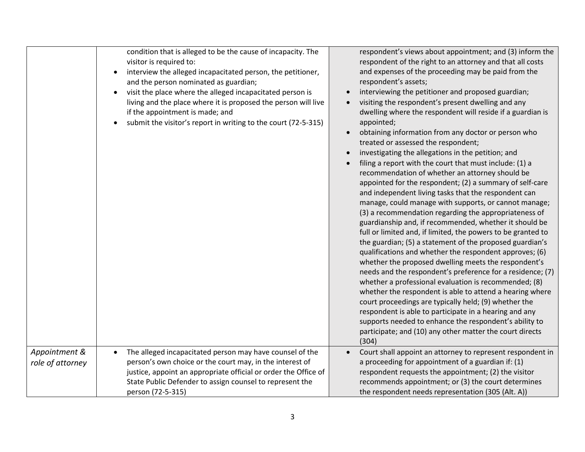|                  | condition that is alleged to be the cause of incapacity. The<br>visitor is required to:<br>interview the alleged incapacitated person, the petitioner,<br>and the person nominated as guardian;<br>visit the place where the alleged incapacitated person is<br>living and the place where it is proposed the person will live<br>if the appointment is made; and<br>submit the visitor's report in writing to the court (72-5-315) | respondent's views about appointment; and (3) inform the<br>respondent of the right to an attorney and that all costs<br>and expenses of the proceeding may be paid from the<br>respondent's assets;<br>interviewing the petitioner and proposed guardian;<br>visiting the respondent's present dwelling and any<br>dwelling where the respondent will reside if a guardian is<br>appointed;<br>obtaining information from any doctor or person who<br>treated or assessed the respondent;<br>investigating the allegations in the petition; and<br>filing a report with the court that must include: (1) a<br>recommendation of whether an attorney should be<br>appointed for the respondent; (2) a summary of self-care<br>and independent living tasks that the respondent can<br>manage, could manage with supports, or cannot manage;<br>(3) a recommendation regarding the appropriateness of<br>guardianship and, if recommended, whether it should be<br>full or limited and, if limited, the powers to be granted to<br>the guardian; (5) a statement of the proposed guardian's<br>qualifications and whether the respondent approves; (6)<br>whether the proposed dwelling meets the respondent's<br>needs and the respondent's preference for a residence; (7)<br>whether a professional evaluation is recommended; (8)<br>whether the respondent is able to attend a hearing where<br>court proceedings are typically held; (9) whether the<br>respondent is able to participate in a hearing and any<br>supports needed to enhance the respondent's ability to<br>participate; and (10) any other matter the court directs<br>(304) |
|------------------|-------------------------------------------------------------------------------------------------------------------------------------------------------------------------------------------------------------------------------------------------------------------------------------------------------------------------------------------------------------------------------------------------------------------------------------|----------------------------------------------------------------------------------------------------------------------------------------------------------------------------------------------------------------------------------------------------------------------------------------------------------------------------------------------------------------------------------------------------------------------------------------------------------------------------------------------------------------------------------------------------------------------------------------------------------------------------------------------------------------------------------------------------------------------------------------------------------------------------------------------------------------------------------------------------------------------------------------------------------------------------------------------------------------------------------------------------------------------------------------------------------------------------------------------------------------------------------------------------------------------------------------------------------------------------------------------------------------------------------------------------------------------------------------------------------------------------------------------------------------------------------------------------------------------------------------------------------------------------------------------------------------------------------------------------------------------------------------------------|
| Appointment &    | The alleged incapacitated person may have counsel of the                                                                                                                                                                                                                                                                                                                                                                            | Court shall appoint an attorney to represent respondent in                                                                                                                                                                                                                                                                                                                                                                                                                                                                                                                                                                                                                                                                                                                                                                                                                                                                                                                                                                                                                                                                                                                                                                                                                                                                                                                                                                                                                                                                                                                                                                                         |
| role of attorney | person's own choice or the court may, in the interest of                                                                                                                                                                                                                                                                                                                                                                            | a proceeding for appointment of a guardian if: (1)                                                                                                                                                                                                                                                                                                                                                                                                                                                                                                                                                                                                                                                                                                                                                                                                                                                                                                                                                                                                                                                                                                                                                                                                                                                                                                                                                                                                                                                                                                                                                                                                 |
|                  | justice, appoint an appropriate official or order the Office of                                                                                                                                                                                                                                                                                                                                                                     | respondent requests the appointment; (2) the visitor                                                                                                                                                                                                                                                                                                                                                                                                                                                                                                                                                                                                                                                                                                                                                                                                                                                                                                                                                                                                                                                                                                                                                                                                                                                                                                                                                                                                                                                                                                                                                                                               |
|                  | State Public Defender to assign counsel to represent the                                                                                                                                                                                                                                                                                                                                                                            | recommends appointment; or (3) the court determines                                                                                                                                                                                                                                                                                                                                                                                                                                                                                                                                                                                                                                                                                                                                                                                                                                                                                                                                                                                                                                                                                                                                                                                                                                                                                                                                                                                                                                                                                                                                                                                                |
|                  | person (72-5-315)                                                                                                                                                                                                                                                                                                                                                                                                                   | the respondent needs representation (305 (Alt. A))                                                                                                                                                                                                                                                                                                                                                                                                                                                                                                                                                                                                                                                                                                                                                                                                                                                                                                                                                                                                                                                                                                                                                                                                                                                                                                                                                                                                                                                                                                                                                                                                 |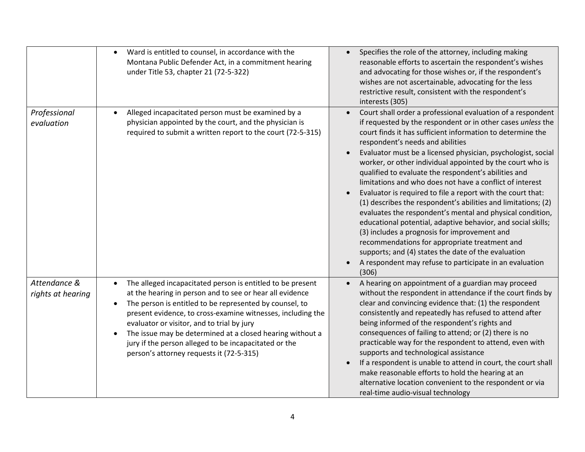|                                   | Ward is entitled to counsel, in accordance with the<br>$\bullet$<br>Montana Public Defender Act, in a commitment hearing<br>under Title 53, chapter 21 (72-5-322)                                                                                                                                                                                                                                                                                                             | Specifies the role of the attorney, including making<br>reasonable efforts to ascertain the respondent's wishes<br>and advocating for those wishes or, if the respondent's<br>wishes are not ascertainable, advocating for the less<br>restrictive result, consistent with the respondent's<br>interests (305)                                                                                                                                                                                                                                                                                                                                                                                                                                                                                                                                                                                                                                                         |
|-----------------------------------|-------------------------------------------------------------------------------------------------------------------------------------------------------------------------------------------------------------------------------------------------------------------------------------------------------------------------------------------------------------------------------------------------------------------------------------------------------------------------------|------------------------------------------------------------------------------------------------------------------------------------------------------------------------------------------------------------------------------------------------------------------------------------------------------------------------------------------------------------------------------------------------------------------------------------------------------------------------------------------------------------------------------------------------------------------------------------------------------------------------------------------------------------------------------------------------------------------------------------------------------------------------------------------------------------------------------------------------------------------------------------------------------------------------------------------------------------------------|
| Professional<br>evaluation        | Alleged incapacitated person must be examined by a<br>physician appointed by the court, and the physician is<br>required to submit a written report to the court (72-5-315)                                                                                                                                                                                                                                                                                                   | Court shall order a professional evaluation of a respondent<br>if requested by the respondent or in other cases unless the<br>court finds it has sufficient information to determine the<br>respondent's needs and abilities<br>Evaluator must be a licensed physician, psychologist, social<br>worker, or other individual appointed by the court who is<br>qualified to evaluate the respondent's abilities and<br>limitations and who does not have a conflict of interest<br>Evaluator is required to file a report with the court that:<br>(1) describes the respondent's abilities and limitations; (2)<br>evaluates the respondent's mental and physical condition,<br>educational potential, adaptive behavior, and social skills;<br>(3) includes a prognosis for improvement and<br>recommendations for appropriate treatment and<br>supports; and (4) states the date of the evaluation<br>A respondent may refuse to participate in an evaluation<br>(306) |
| Attendance &<br>rights at hearing | The alleged incapacitated person is entitled to be present<br>at the hearing in person and to see or hear all evidence<br>The person is entitled to be represented by counsel, to<br>$\bullet$<br>present evidence, to cross-examine witnesses, including the<br>evaluator or visitor, and to trial by jury<br>The issue may be determined at a closed hearing without a<br>jury if the person alleged to be incapacitated or the<br>person's attorney requests it (72-5-315) | A hearing on appointment of a guardian may proceed<br>without the respondent in attendance if the court finds by<br>clear and convincing evidence that: (1) the respondent<br>consistently and repeatedly has refused to attend after<br>being informed of the respondent's rights and<br>consequences of failing to attend; or (2) there is no<br>practicable way for the respondent to attend, even with<br>supports and technological assistance<br>If a respondent is unable to attend in court, the court shall<br>make reasonable efforts to hold the hearing at an<br>alternative location convenient to the respondent or via<br>real-time audio-visual technology                                                                                                                                                                                                                                                                                             |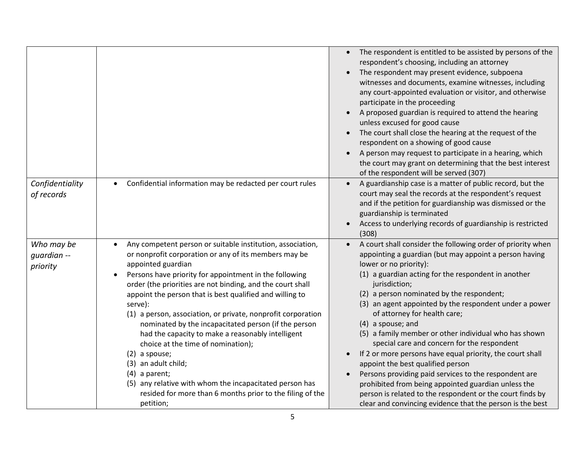|                                       |                                                                                                                                                                                                                                                                                                                                                                                                                                                                                                                                                                                                                                                                                                                                                                                         | The respondent is entitled to be assisted by persons of the<br>$\bullet$<br>respondent's choosing, including an attorney<br>The respondent may present evidence, subpoena<br>witnesses and documents, examine witnesses, including<br>any court-appointed evaluation or visitor, and otherwise<br>participate in the proceeding<br>A proposed guardian is required to attend the hearing<br>unless excused for good cause<br>The court shall close the hearing at the request of the<br>respondent on a showing of good cause<br>A person may request to participate in a hearing, which<br>the court may grant on determining that the best interest<br>of the respondent will be served (307)                                                                                                                                         |
|---------------------------------------|-----------------------------------------------------------------------------------------------------------------------------------------------------------------------------------------------------------------------------------------------------------------------------------------------------------------------------------------------------------------------------------------------------------------------------------------------------------------------------------------------------------------------------------------------------------------------------------------------------------------------------------------------------------------------------------------------------------------------------------------------------------------------------------------|-----------------------------------------------------------------------------------------------------------------------------------------------------------------------------------------------------------------------------------------------------------------------------------------------------------------------------------------------------------------------------------------------------------------------------------------------------------------------------------------------------------------------------------------------------------------------------------------------------------------------------------------------------------------------------------------------------------------------------------------------------------------------------------------------------------------------------------------|
| Confidentiality<br>of records         | Confidential information may be redacted per court rules<br>$\bullet$                                                                                                                                                                                                                                                                                                                                                                                                                                                                                                                                                                                                                                                                                                                   | A guardianship case is a matter of public record, but the<br>court may seal the records at the respondent's request<br>and if the petition for guardianship was dismissed or the<br>guardianship is terminated<br>Access to underlying records of guardianship is restricted<br>(308)                                                                                                                                                                                                                                                                                                                                                                                                                                                                                                                                                   |
| Who may be<br>guardian --<br>priority | Any competent person or suitable institution, association,<br>$\bullet$<br>or nonprofit corporation or any of its members may be<br>appointed guardian<br>Persons have priority for appointment in the following<br>$\bullet$<br>order (the priorities are not binding, and the court shall<br>appoint the person that is best qualified and willing to<br>serve):<br>(1) a person, association, or private, nonprofit corporation<br>nominated by the incapacitated person (if the person<br>had the capacity to make a reasonably intelligent<br>choice at the time of nomination);<br>$(2)$ a spouse;<br>(3) an adult child;<br>$(4)$ a parent;<br>(5) any relative with whom the incapacitated person has<br>resided for more than 6 months prior to the filing of the<br>petition; | A court shall consider the following order of priority when<br>appointing a guardian (but may appoint a person having<br>lower or no priority):<br>(1) a guardian acting for the respondent in another<br>jurisdiction;<br>(2) a person nominated by the respondent;<br>(3) an agent appointed by the respondent under a power<br>of attorney for health care;<br>(4) a spouse; and<br>(5) a family member or other individual who has shown<br>special care and concern for the respondent<br>If 2 or more persons have equal priority, the court shall<br>appoint the best qualified person<br>Persons providing paid services to the respondent are<br>prohibited from being appointed guardian unless the<br>person is related to the respondent or the court finds by<br>clear and convincing evidence that the person is the best |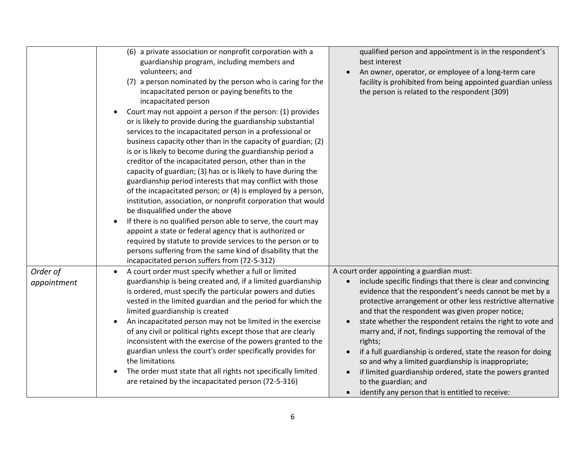|             | (6) a private association or nonprofit corporation with a<br>guardianship program, including members and<br>volunteers; and<br>(7) a person nominated by the person who is caring for the<br>incapacitated person or paying benefits to the<br>incapacitated person<br>Court may not appoint a person if the person: (1) provides<br>or is likely to provide during the guardianship substantial<br>services to the incapacitated person in a professional or<br>business capacity other than in the capacity of guardian; (2)<br>is or is likely to become during the guardianship period a<br>creditor of the incapacitated person, other than in the<br>capacity of guardian; (3) has or is likely to have during the<br>guardianship period interests that may conflict with those<br>of the incapacitated person; or (4) is employed by a person,<br>institution, association, or nonprofit corporation that would<br>be disqualified under the above<br>If there is no qualified person able to serve, the court may<br>$\bullet$<br>appoint a state or federal agency that is authorized or<br>required by statute to provide services to the person or to<br>persons suffering from the same kind of disability that the | qualified person and appointment is in the respondent's<br>best interest<br>An owner, operator, or employee of a long-term care<br>facility is prohibited from being appointed guardian unless<br>the person is related to the respondent (309)                                                                                                                                                                                                                                                                                                                                                                                                    |
|-------------|----------------------------------------------------------------------------------------------------------------------------------------------------------------------------------------------------------------------------------------------------------------------------------------------------------------------------------------------------------------------------------------------------------------------------------------------------------------------------------------------------------------------------------------------------------------------------------------------------------------------------------------------------------------------------------------------------------------------------------------------------------------------------------------------------------------------------------------------------------------------------------------------------------------------------------------------------------------------------------------------------------------------------------------------------------------------------------------------------------------------------------------------------------------------------------------------------------------------------------|----------------------------------------------------------------------------------------------------------------------------------------------------------------------------------------------------------------------------------------------------------------------------------------------------------------------------------------------------------------------------------------------------------------------------------------------------------------------------------------------------------------------------------------------------------------------------------------------------------------------------------------------------|
| Order of    | incapacitated person suffers from (72-5-312)<br>A court order must specify whether a full or limited                                                                                                                                                                                                                                                                                                                                                                                                                                                                                                                                                                                                                                                                                                                                                                                                                                                                                                                                                                                                                                                                                                                             | A court order appointing a guardian must:                                                                                                                                                                                                                                                                                                                                                                                                                                                                                                                                                                                                          |
| appointment | guardianship is being created and, if a limited guardianship<br>is ordered, must specify the particular powers and duties<br>vested in the limited guardian and the period for which the<br>limited guardianship is created<br>An incapacitated person may not be limited in the exercise<br>of any civil or political rights except those that are clearly<br>inconsistent with the exercise of the powers granted to the<br>guardian unless the court's order specifically provides for<br>the limitations<br>The order must state that all rights not specifically limited<br>are retained by the incapacitated person (72-5-316)                                                                                                                                                                                                                                                                                                                                                                                                                                                                                                                                                                                             | include specific findings that there is clear and convincing<br>evidence that the respondent's needs cannot be met by a<br>protective arrangement or other less restrictive alternative<br>and that the respondent was given proper notice;<br>state whether the respondent retains the right to vote and<br>marry and, if not, findings supporting the removal of the<br>rights;<br>if a full guardianship is ordered, state the reason for doing<br>so and why a limited guardianship is inappropriate;<br>if limited guardianship ordered, state the powers granted<br>to the guardian; and<br>identify any person that is entitled to receive: |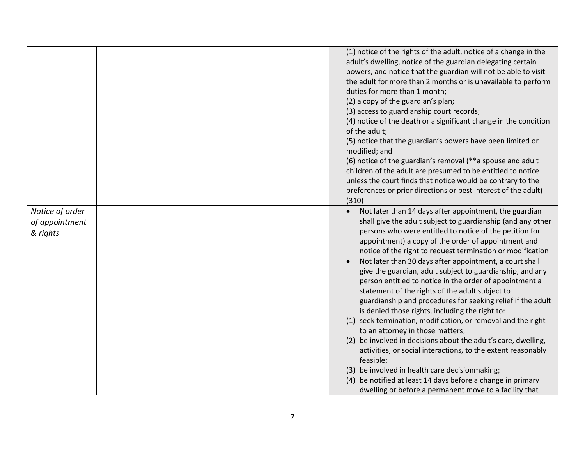| (1) notice of the rights of the adult, notice of a change in the<br>adult's dwelling, notice of the guardian delegating certain<br>powers, and notice that the guardian will not be able to visit<br>the adult for more than 2 months or is unavailable to perform<br>duties for more than 1 month;<br>(2) a copy of the guardian's plan;<br>(3) access to guardianship court records;<br>(4) notice of the death or a significant change in the condition<br>of the adult;<br>(5) notice that the guardian's powers have been limited or<br>modified; and<br>(6) notice of the guardian's removal (**a spouse and adult<br>children of the adult are presumed to be entitled to notice<br>unless the court finds that notice would be contrary to the<br>preferences or prior directions or best interest of the adult)<br>(310)<br>Notice of order<br>Not later than 14 days after appointment, the guardian<br>$\bullet$<br>shall give the adult subject to guardianship (and any other<br>of appointment<br>persons who were entitled to notice of the petition for<br>& rights<br>appointment) a copy of the order of appointment and<br>notice of the right to request termination or modification<br>Not later than 30 days after appointment, a court shall<br>$\bullet$<br>give the guardian, adult subject to guardianship, and any<br>person entitled to notice in the order of appointment a<br>statement of the rights of the adult subject to<br>guardianship and procedures for seeking relief if the adult<br>is denied those rights, including the right to:<br>(1) seek termination, modification, or removal and the right<br>to an attorney in those matters;<br>(2) be involved in decisions about the adult's care, dwelling,<br>activities, or social interactions, to the extent reasonably<br>feasible;<br>(3) be involved in health care decisionmaking;<br>(4) be notified at least 14 days before a change in primary |  |                                                        |
|---------------------------------------------------------------------------------------------------------------------------------------------------------------------------------------------------------------------------------------------------------------------------------------------------------------------------------------------------------------------------------------------------------------------------------------------------------------------------------------------------------------------------------------------------------------------------------------------------------------------------------------------------------------------------------------------------------------------------------------------------------------------------------------------------------------------------------------------------------------------------------------------------------------------------------------------------------------------------------------------------------------------------------------------------------------------------------------------------------------------------------------------------------------------------------------------------------------------------------------------------------------------------------------------------------------------------------------------------------------------------------------------------------------------------------------------------------------------------------------------------------------------------------------------------------------------------------------------------------------------------------------------------------------------------------------------------------------------------------------------------------------------------------------------------------------------------------------------------------------------------------------------------------------------------------------------------|--|--------------------------------------------------------|
|                                                                                                                                                                                                                                                                                                                                                                                                                                                                                                                                                                                                                                                                                                                                                                                                                                                                                                                                                                                                                                                                                                                                                                                                                                                                                                                                                                                                                                                                                                                                                                                                                                                                                                                                                                                                                                                                                                                                                   |  |                                                        |
|                                                                                                                                                                                                                                                                                                                                                                                                                                                                                                                                                                                                                                                                                                                                                                                                                                                                                                                                                                                                                                                                                                                                                                                                                                                                                                                                                                                                                                                                                                                                                                                                                                                                                                                                                                                                                                                                                                                                                   |  |                                                        |
|                                                                                                                                                                                                                                                                                                                                                                                                                                                                                                                                                                                                                                                                                                                                                                                                                                                                                                                                                                                                                                                                                                                                                                                                                                                                                                                                                                                                                                                                                                                                                                                                                                                                                                                                                                                                                                                                                                                                                   |  |                                                        |
|                                                                                                                                                                                                                                                                                                                                                                                                                                                                                                                                                                                                                                                                                                                                                                                                                                                                                                                                                                                                                                                                                                                                                                                                                                                                                                                                                                                                                                                                                                                                                                                                                                                                                                                                                                                                                                                                                                                                                   |  |                                                        |
|                                                                                                                                                                                                                                                                                                                                                                                                                                                                                                                                                                                                                                                                                                                                                                                                                                                                                                                                                                                                                                                                                                                                                                                                                                                                                                                                                                                                                                                                                                                                                                                                                                                                                                                                                                                                                                                                                                                                                   |  |                                                        |
|                                                                                                                                                                                                                                                                                                                                                                                                                                                                                                                                                                                                                                                                                                                                                                                                                                                                                                                                                                                                                                                                                                                                                                                                                                                                                                                                                                                                                                                                                                                                                                                                                                                                                                                                                                                                                                                                                                                                                   |  |                                                        |
|                                                                                                                                                                                                                                                                                                                                                                                                                                                                                                                                                                                                                                                                                                                                                                                                                                                                                                                                                                                                                                                                                                                                                                                                                                                                                                                                                                                                                                                                                                                                                                                                                                                                                                                                                                                                                                                                                                                                                   |  |                                                        |
|                                                                                                                                                                                                                                                                                                                                                                                                                                                                                                                                                                                                                                                                                                                                                                                                                                                                                                                                                                                                                                                                                                                                                                                                                                                                                                                                                                                                                                                                                                                                                                                                                                                                                                                                                                                                                                                                                                                                                   |  |                                                        |
|                                                                                                                                                                                                                                                                                                                                                                                                                                                                                                                                                                                                                                                                                                                                                                                                                                                                                                                                                                                                                                                                                                                                                                                                                                                                                                                                                                                                                                                                                                                                                                                                                                                                                                                                                                                                                                                                                                                                                   |  |                                                        |
|                                                                                                                                                                                                                                                                                                                                                                                                                                                                                                                                                                                                                                                                                                                                                                                                                                                                                                                                                                                                                                                                                                                                                                                                                                                                                                                                                                                                                                                                                                                                                                                                                                                                                                                                                                                                                                                                                                                                                   |  |                                                        |
|                                                                                                                                                                                                                                                                                                                                                                                                                                                                                                                                                                                                                                                                                                                                                                                                                                                                                                                                                                                                                                                                                                                                                                                                                                                                                                                                                                                                                                                                                                                                                                                                                                                                                                                                                                                                                                                                                                                                                   |  |                                                        |
|                                                                                                                                                                                                                                                                                                                                                                                                                                                                                                                                                                                                                                                                                                                                                                                                                                                                                                                                                                                                                                                                                                                                                                                                                                                                                                                                                                                                                                                                                                                                                                                                                                                                                                                                                                                                                                                                                                                                                   |  |                                                        |
|                                                                                                                                                                                                                                                                                                                                                                                                                                                                                                                                                                                                                                                                                                                                                                                                                                                                                                                                                                                                                                                                                                                                                                                                                                                                                                                                                                                                                                                                                                                                                                                                                                                                                                                                                                                                                                                                                                                                                   |  |                                                        |
|                                                                                                                                                                                                                                                                                                                                                                                                                                                                                                                                                                                                                                                                                                                                                                                                                                                                                                                                                                                                                                                                                                                                                                                                                                                                                                                                                                                                                                                                                                                                                                                                                                                                                                                                                                                                                                                                                                                                                   |  |                                                        |
|                                                                                                                                                                                                                                                                                                                                                                                                                                                                                                                                                                                                                                                                                                                                                                                                                                                                                                                                                                                                                                                                                                                                                                                                                                                                                                                                                                                                                                                                                                                                                                                                                                                                                                                                                                                                                                                                                                                                                   |  |                                                        |
|                                                                                                                                                                                                                                                                                                                                                                                                                                                                                                                                                                                                                                                                                                                                                                                                                                                                                                                                                                                                                                                                                                                                                                                                                                                                                                                                                                                                                                                                                                                                                                                                                                                                                                                                                                                                                                                                                                                                                   |  |                                                        |
|                                                                                                                                                                                                                                                                                                                                                                                                                                                                                                                                                                                                                                                                                                                                                                                                                                                                                                                                                                                                                                                                                                                                                                                                                                                                                                                                                                                                                                                                                                                                                                                                                                                                                                                                                                                                                                                                                                                                                   |  |                                                        |
|                                                                                                                                                                                                                                                                                                                                                                                                                                                                                                                                                                                                                                                                                                                                                                                                                                                                                                                                                                                                                                                                                                                                                                                                                                                                                                                                                                                                                                                                                                                                                                                                                                                                                                                                                                                                                                                                                                                                                   |  |                                                        |
|                                                                                                                                                                                                                                                                                                                                                                                                                                                                                                                                                                                                                                                                                                                                                                                                                                                                                                                                                                                                                                                                                                                                                                                                                                                                                                                                                                                                                                                                                                                                                                                                                                                                                                                                                                                                                                                                                                                                                   |  |                                                        |
|                                                                                                                                                                                                                                                                                                                                                                                                                                                                                                                                                                                                                                                                                                                                                                                                                                                                                                                                                                                                                                                                                                                                                                                                                                                                                                                                                                                                                                                                                                                                                                                                                                                                                                                                                                                                                                                                                                                                                   |  |                                                        |
|                                                                                                                                                                                                                                                                                                                                                                                                                                                                                                                                                                                                                                                                                                                                                                                                                                                                                                                                                                                                                                                                                                                                                                                                                                                                                                                                                                                                                                                                                                                                                                                                                                                                                                                                                                                                                                                                                                                                                   |  |                                                        |
|                                                                                                                                                                                                                                                                                                                                                                                                                                                                                                                                                                                                                                                                                                                                                                                                                                                                                                                                                                                                                                                                                                                                                                                                                                                                                                                                                                                                                                                                                                                                                                                                                                                                                                                                                                                                                                                                                                                                                   |  |                                                        |
|                                                                                                                                                                                                                                                                                                                                                                                                                                                                                                                                                                                                                                                                                                                                                                                                                                                                                                                                                                                                                                                                                                                                                                                                                                                                                                                                                                                                                                                                                                                                                                                                                                                                                                                                                                                                                                                                                                                                                   |  |                                                        |
|                                                                                                                                                                                                                                                                                                                                                                                                                                                                                                                                                                                                                                                                                                                                                                                                                                                                                                                                                                                                                                                                                                                                                                                                                                                                                                                                                                                                                                                                                                                                                                                                                                                                                                                                                                                                                                                                                                                                                   |  |                                                        |
|                                                                                                                                                                                                                                                                                                                                                                                                                                                                                                                                                                                                                                                                                                                                                                                                                                                                                                                                                                                                                                                                                                                                                                                                                                                                                                                                                                                                                                                                                                                                                                                                                                                                                                                                                                                                                                                                                                                                                   |  |                                                        |
|                                                                                                                                                                                                                                                                                                                                                                                                                                                                                                                                                                                                                                                                                                                                                                                                                                                                                                                                                                                                                                                                                                                                                                                                                                                                                                                                                                                                                                                                                                                                                                                                                                                                                                                                                                                                                                                                                                                                                   |  |                                                        |
|                                                                                                                                                                                                                                                                                                                                                                                                                                                                                                                                                                                                                                                                                                                                                                                                                                                                                                                                                                                                                                                                                                                                                                                                                                                                                                                                                                                                                                                                                                                                                                                                                                                                                                                                                                                                                                                                                                                                                   |  |                                                        |
|                                                                                                                                                                                                                                                                                                                                                                                                                                                                                                                                                                                                                                                                                                                                                                                                                                                                                                                                                                                                                                                                                                                                                                                                                                                                                                                                                                                                                                                                                                                                                                                                                                                                                                                                                                                                                                                                                                                                                   |  |                                                        |
|                                                                                                                                                                                                                                                                                                                                                                                                                                                                                                                                                                                                                                                                                                                                                                                                                                                                                                                                                                                                                                                                                                                                                                                                                                                                                                                                                                                                                                                                                                                                                                                                                                                                                                                                                                                                                                                                                                                                                   |  |                                                        |
|                                                                                                                                                                                                                                                                                                                                                                                                                                                                                                                                                                                                                                                                                                                                                                                                                                                                                                                                                                                                                                                                                                                                                                                                                                                                                                                                                                                                                                                                                                                                                                                                                                                                                                                                                                                                                                                                                                                                                   |  |                                                        |
|                                                                                                                                                                                                                                                                                                                                                                                                                                                                                                                                                                                                                                                                                                                                                                                                                                                                                                                                                                                                                                                                                                                                                                                                                                                                                                                                                                                                                                                                                                                                                                                                                                                                                                                                                                                                                                                                                                                                                   |  |                                                        |
|                                                                                                                                                                                                                                                                                                                                                                                                                                                                                                                                                                                                                                                                                                                                                                                                                                                                                                                                                                                                                                                                                                                                                                                                                                                                                                                                                                                                                                                                                                                                                                                                                                                                                                                                                                                                                                                                                                                                                   |  |                                                        |
|                                                                                                                                                                                                                                                                                                                                                                                                                                                                                                                                                                                                                                                                                                                                                                                                                                                                                                                                                                                                                                                                                                                                                                                                                                                                                                                                                                                                                                                                                                                                                                                                                                                                                                                                                                                                                                                                                                                                                   |  | dwelling or before a permanent move to a facility that |
|                                                                                                                                                                                                                                                                                                                                                                                                                                                                                                                                                                                                                                                                                                                                                                                                                                                                                                                                                                                                                                                                                                                                                                                                                                                                                                                                                                                                                                                                                                                                                                                                                                                                                                                                                                                                                                                                                                                                                   |  |                                                        |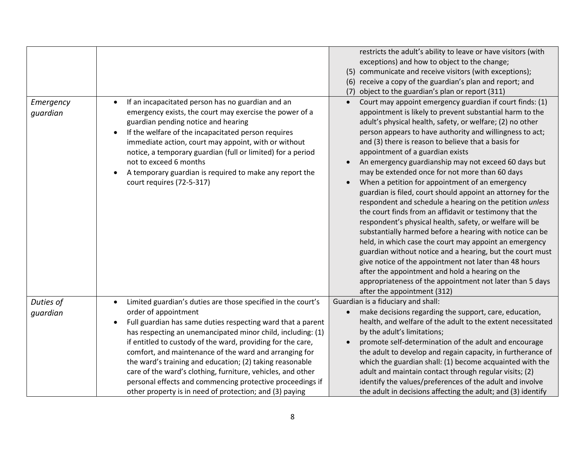| Emergency<br>quardian | If an incapacitated person has no guardian and an<br>$\bullet$<br>emergency exists, the court may exercise the power of a<br>guardian pending notice and hearing<br>If the welfare of the incapacitated person requires<br>$\bullet$<br>immediate action, court may appoint, with or without                                                                                                                                                                                                                                                                                                                             | restricts the adult's ability to leave or have visitors (with<br>exceptions) and how to object to the change;<br>(5) communicate and receive visitors (with exceptions);<br>(6) receive a copy of the guardian's plan and report; and<br>object to the guardian's plan or report (311)<br>(7)<br>Court may appoint emergency guardian if court finds: (1)<br>appointment is likely to prevent substantial harm to the<br>adult's physical health, safety, or welfare; (2) no other<br>person appears to have authority and willingness to act;<br>and (3) there is reason to believe that a basis for                                                                                                                                                                                                                                      |
|-----------------------|--------------------------------------------------------------------------------------------------------------------------------------------------------------------------------------------------------------------------------------------------------------------------------------------------------------------------------------------------------------------------------------------------------------------------------------------------------------------------------------------------------------------------------------------------------------------------------------------------------------------------|--------------------------------------------------------------------------------------------------------------------------------------------------------------------------------------------------------------------------------------------------------------------------------------------------------------------------------------------------------------------------------------------------------------------------------------------------------------------------------------------------------------------------------------------------------------------------------------------------------------------------------------------------------------------------------------------------------------------------------------------------------------------------------------------------------------------------------------------|
|                       | notice, a temporary guardian (full or limited) for a period<br>not to exceed 6 months<br>A temporary guardian is required to make any report the<br>court requires (72-5-317)                                                                                                                                                                                                                                                                                                                                                                                                                                            | appointment of a guardian exists<br>An emergency guardianship may not exceed 60 days but<br>may be extended once for not more than 60 days<br>When a petition for appointment of an emergency<br>guardian is filed, court should appoint an attorney for the<br>respondent and schedule a hearing on the petition unless<br>the court finds from an affidavit or testimony that the<br>respondent's physical health, safety, or welfare will be<br>substantially harmed before a hearing with notice can be<br>held, in which case the court may appoint an emergency<br>guardian without notice and a hearing, but the court must<br>give notice of the appointment not later than 48 hours<br>after the appointment and hold a hearing on the<br>appropriateness of the appointment not later than 5 days<br>after the appointment (312) |
| Duties of<br>quardian | Limited guardian's duties are those specified in the court's<br>$\bullet$<br>order of appointment<br>Full guardian has same duties respecting ward that a parent<br>$\bullet$<br>has respecting an unemancipated minor child, including: (1)<br>if entitled to custody of the ward, providing for the care,<br>comfort, and maintenance of the ward and arranging for<br>the ward's training and education; (2) taking reasonable<br>care of the ward's clothing, furniture, vehicles, and other<br>personal effects and commencing protective proceedings if<br>other property is in need of protection; and (3) paying | Guardian is a fiduciary and shall:<br>make decisions regarding the support, care, education,<br>$\bullet$<br>health, and welfare of the adult to the extent necessitated<br>by the adult's limitations;<br>promote self-determination of the adult and encourage<br>the adult to develop and regain capacity, in furtherance of<br>which the guardian shall: (1) become acquainted with the<br>adult and maintain contact through regular visits; (2)<br>identify the values/preferences of the adult and involve<br>the adult in decisions affecting the adult; and (3) identify                                                                                                                                                                                                                                                          |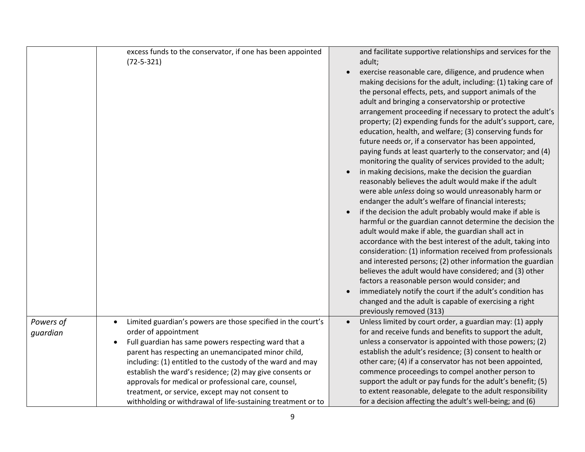|                       | excess funds to the conservator, if one has been appointed<br>$(72 - 5 - 321)$                                                                                                                                                                                                                                                                                                                                                                                                                                                      | and facilitate supportive relationships and services for the<br>adult;<br>exercise reasonable care, diligence, and prudence when<br>making decisions for the adult, including: (1) taking care of<br>the personal effects, pets, and support animals of the<br>adult and bringing a conservatorship or protective<br>arrangement proceeding if necessary to protect the adult's<br>property; (2) expending funds for the adult's support, care,<br>education, health, and welfare; (3) conserving funds for<br>future needs or, if a conservator has been appointed,<br>paying funds at least quarterly to the conservator; and (4)<br>monitoring the quality of services provided to the adult;<br>in making decisions, make the decision the guardian<br>reasonably believes the adult would make if the adult<br>were able unless doing so would unreasonably harm or<br>endanger the adult's welfare of financial interests;<br>if the decision the adult probably would make if able is<br>harmful or the guardian cannot determine the decision the<br>adult would make if able, the guardian shall act in<br>accordance with the best interest of the adult, taking into<br>consideration: (1) information received from professionals<br>and interested persons; (2) other information the guardian<br>believes the adult would have considered; and (3) other<br>factors a reasonable person would consider; and<br>immediately notify the court if the adult's condition has<br>changed and the adult is capable of exercising a right<br>previously removed (313) |
|-----------------------|-------------------------------------------------------------------------------------------------------------------------------------------------------------------------------------------------------------------------------------------------------------------------------------------------------------------------------------------------------------------------------------------------------------------------------------------------------------------------------------------------------------------------------------|------------------------------------------------------------------------------------------------------------------------------------------------------------------------------------------------------------------------------------------------------------------------------------------------------------------------------------------------------------------------------------------------------------------------------------------------------------------------------------------------------------------------------------------------------------------------------------------------------------------------------------------------------------------------------------------------------------------------------------------------------------------------------------------------------------------------------------------------------------------------------------------------------------------------------------------------------------------------------------------------------------------------------------------------------------------------------------------------------------------------------------------------------------------------------------------------------------------------------------------------------------------------------------------------------------------------------------------------------------------------------------------------------------------------------------------------------------------------------------------------------------------------------------------------------------------------------|
| Powers of<br>quardian | Limited guardian's powers are those specified in the court's<br>$\bullet$<br>order of appointment<br>Full guardian has same powers respecting ward that a<br>$\bullet$<br>parent has respecting an unemancipated minor child,<br>including: (1) entitled to the custody of the ward and may<br>establish the ward's residence; (2) may give consents or<br>approvals for medical or professional care, counsel,<br>treatment, or service, except may not consent to<br>withholding or withdrawal of life-sustaining treatment or to | Unless limited by court order, a guardian may: (1) apply<br>for and receive funds and benefits to support the adult,<br>unless a conservator is appointed with those powers; (2)<br>establish the adult's residence; (3) consent to health or<br>other care; (4) if a conservator has not been appointed,<br>commence proceedings to compel another person to<br>support the adult or pay funds for the adult's benefit; (5)<br>to extent reasonable, delegate to the adult responsibility<br>for a decision affecting the adult's well-being; and (6)                                                                                                                                                                                                                                                                                                                                                                                                                                                                                                                                                                                                                                                                                                                                                                                                                                                                                                                                                                                                                       |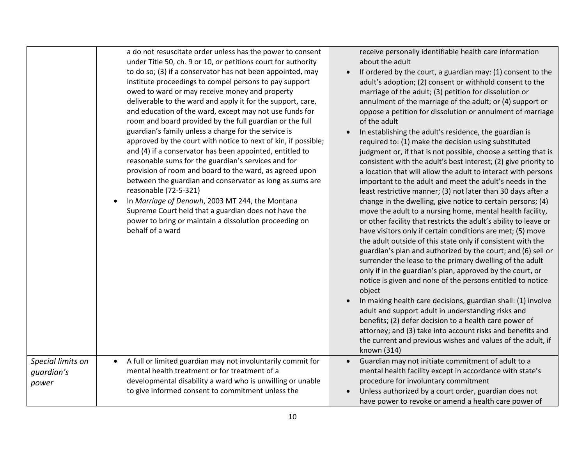|                                          | a do not resuscitate order unless has the power to consent<br>under Title 50, ch. 9 or 10, or petitions court for authority<br>to do so; (3) if a conservator has not been appointed, may<br>institute proceedings to compel persons to pay support<br>owed to ward or may receive money and property<br>deliverable to the ward and apply it for the support, care,<br>and education of the ward, except may not use funds for<br>room and board provided by the full guardian or the full<br>guardian's family unless a charge for the service is<br>approved by the court with notice to next of kin, if possible;<br>and (4) if a conservator has been appointed, entitled to<br>reasonable sums for the guardian's services and for<br>provision of room and board to the ward, as agreed upon<br>between the guardian and conservator as long as sums are<br>reasonable (72-5-321)<br>In Marriage of Denowh, 2003 MT 244, the Montana<br>$\bullet$<br>Supreme Court held that a guardian does not have the<br>power to bring or maintain a dissolution proceeding on<br>behalf of a ward | receive personally identifiable health care information<br>about the adult<br>If ordered by the court, a guardian may: (1) consent to the<br>$\bullet$<br>adult's adoption; (2) consent or withhold consent to the<br>marriage of the adult; (3) petition for dissolution or<br>annulment of the marriage of the adult; or (4) support or<br>oppose a petition for dissolution or annulment of marriage<br>of the adult<br>In establishing the adult's residence, the guardian is<br>required to: (1) make the decision using substituted<br>judgment or, if that is not possible, choose a setting that is<br>consistent with the adult's best interest; (2) give priority to<br>a location that will allow the adult to interact with persons<br>important to the adult and meet the adult's needs in the<br>least restrictive manner; (3) not later than 30 days after a<br>change in the dwelling, give notice to certain persons; (4)<br>move the adult to a nursing home, mental health facility,<br>or other facility that restricts the adult's ability to leave or<br>have visitors only if certain conditions are met; (5) move<br>the adult outside of this state only if consistent with the<br>guardian's plan and authorized by the court; and (6) sell or<br>surrender the lease to the primary dwelling of the adult<br>only if in the guardian's plan, approved by the court, or<br>notice is given and none of the persons entitled to notice<br>object<br>In making health care decisions, guardian shall: (1) involve<br>adult and support adult in understanding risks and<br>benefits; (2) defer decision to a health care power of<br>attorney; and (3) take into account risks and benefits and<br>the current and previous wishes and values of the adult, if<br>known (314) |
|------------------------------------------|------------------------------------------------------------------------------------------------------------------------------------------------------------------------------------------------------------------------------------------------------------------------------------------------------------------------------------------------------------------------------------------------------------------------------------------------------------------------------------------------------------------------------------------------------------------------------------------------------------------------------------------------------------------------------------------------------------------------------------------------------------------------------------------------------------------------------------------------------------------------------------------------------------------------------------------------------------------------------------------------------------------------------------------------------------------------------------------------|-------------------------------------------------------------------------------------------------------------------------------------------------------------------------------------------------------------------------------------------------------------------------------------------------------------------------------------------------------------------------------------------------------------------------------------------------------------------------------------------------------------------------------------------------------------------------------------------------------------------------------------------------------------------------------------------------------------------------------------------------------------------------------------------------------------------------------------------------------------------------------------------------------------------------------------------------------------------------------------------------------------------------------------------------------------------------------------------------------------------------------------------------------------------------------------------------------------------------------------------------------------------------------------------------------------------------------------------------------------------------------------------------------------------------------------------------------------------------------------------------------------------------------------------------------------------------------------------------------------------------------------------------------------------------------------------------------------------------------------------------------------------------------------------------------|
| Special limits on<br>guardian's<br>power | A full or limited guardian may not involuntarily commit for<br>$\bullet$<br>mental health treatment or for treatment of a<br>developmental disability a ward who is unwilling or unable<br>to give informed consent to commitment unless the                                                                                                                                                                                                                                                                                                                                                                                                                                                                                                                                                                                                                                                                                                                                                                                                                                                   | Guardian may not initiate commitment of adult to a<br>$\bullet$<br>mental health facility except in accordance with state's<br>procedure for involuntary commitment<br>Unless authorized by a court order, guardian does not<br>have power to revoke or amend a health care power of                                                                                                                                                                                                                                                                                                                                                                                                                                                                                                                                                                                                                                                                                                                                                                                                                                                                                                                                                                                                                                                                                                                                                                                                                                                                                                                                                                                                                                                                                                                  |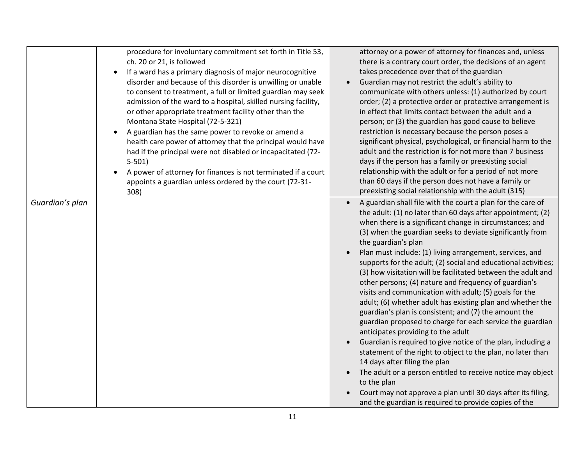|                 | procedure for involuntary commitment set forth in Title 53,<br>ch. 20 or 21, is followed<br>If a ward has a primary diagnosis of major neurocognitive<br>$\bullet$<br>disorder and because of this disorder is unwilling or unable<br>to consent to treatment, a full or limited guardian may seek<br>admission of the ward to a hospital, skilled nursing facility,<br>or other appropriate treatment facility other than the<br>Montana State Hospital (72-5-321)<br>A guardian has the same power to revoke or amend a<br>$\bullet$<br>health care power of attorney that the principal would have<br>had if the principal were not disabled or incapacitated (72-<br>$5-501$<br>A power of attorney for finances is not terminated if a court<br>appoints a guardian unless ordered by the court (72-31-<br>308) | attorney or a power of attorney for finances and, unless<br>there is a contrary court order, the decisions of an agent<br>takes precedence over that of the guardian<br>Guardian may not restrict the adult's ability to<br>communicate with others unless: (1) authorized by court<br>order; (2) a protective order or protective arrangement is<br>in effect that limits contact between the adult and a<br>person; or (3) the guardian has good cause to believe<br>restriction is necessary because the person poses a<br>significant physical, psychological, or financial harm to the<br>adult and the restriction is for not more than 7 business<br>days if the person has a family or preexisting social<br>relationship with the adult or for a period of not more<br>than 60 days if the person does not have a family or<br>preexisting social relationship with the adult (315)                                                                                                                                                                                                                                                                                                 |
|-----------------|----------------------------------------------------------------------------------------------------------------------------------------------------------------------------------------------------------------------------------------------------------------------------------------------------------------------------------------------------------------------------------------------------------------------------------------------------------------------------------------------------------------------------------------------------------------------------------------------------------------------------------------------------------------------------------------------------------------------------------------------------------------------------------------------------------------------|----------------------------------------------------------------------------------------------------------------------------------------------------------------------------------------------------------------------------------------------------------------------------------------------------------------------------------------------------------------------------------------------------------------------------------------------------------------------------------------------------------------------------------------------------------------------------------------------------------------------------------------------------------------------------------------------------------------------------------------------------------------------------------------------------------------------------------------------------------------------------------------------------------------------------------------------------------------------------------------------------------------------------------------------------------------------------------------------------------------------------------------------------------------------------------------------|
| Guardian's plan |                                                                                                                                                                                                                                                                                                                                                                                                                                                                                                                                                                                                                                                                                                                                                                                                                      | A guardian shall file with the court a plan for the care of<br>the adult: (1) no later than 60 days after appointment; (2)<br>when there is a significant change in circumstances; and<br>(3) when the guardian seeks to deviate significantly from<br>the guardian's plan<br>Plan must include: (1) living arrangement, services, and<br>supports for the adult; (2) social and educational activities;<br>(3) how visitation will be facilitated between the adult and<br>other persons; (4) nature and frequency of guardian's<br>visits and communication with adult; (5) goals for the<br>adult; (6) whether adult has existing plan and whether the<br>guardian's plan is consistent; and (7) the amount the<br>guardian proposed to charge for each service the guardian<br>anticipates providing to the adult<br>Guardian is required to give notice of the plan, including a<br>statement of the right to object to the plan, no later than<br>14 days after filing the plan<br>The adult or a person entitled to receive notice may object<br>to the plan<br>Court may not approve a plan until 30 days after its filing,<br>and the guardian is required to provide copies of the |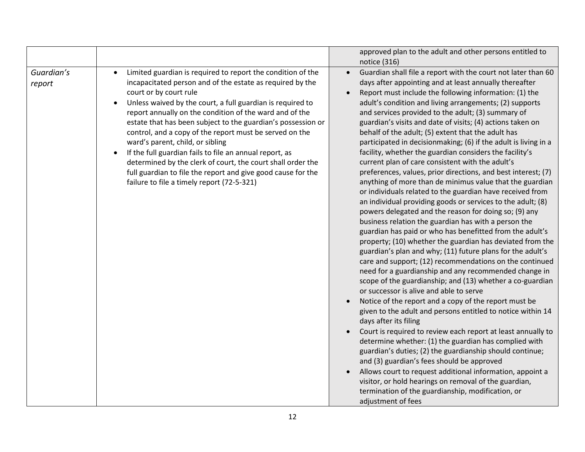|                      |                                                                                                                                                                                                                                                                                                                                                                                                                                                                                                                                                                                                                                                                                                 | approved plan to the adult and other persons entitled to<br>notice (316)                                                                                                                                                                                                                                                                                                                                                                                                                                                                                                                                                                                                                                                                                                                                                                                                                                                                                                                                                                                                                                                                                                                                                                                                                                                                                                                                                                                                                                                                                                                                                                                                                                                                                                                                                                                                                                                                                                                                |
|----------------------|-------------------------------------------------------------------------------------------------------------------------------------------------------------------------------------------------------------------------------------------------------------------------------------------------------------------------------------------------------------------------------------------------------------------------------------------------------------------------------------------------------------------------------------------------------------------------------------------------------------------------------------------------------------------------------------------------|---------------------------------------------------------------------------------------------------------------------------------------------------------------------------------------------------------------------------------------------------------------------------------------------------------------------------------------------------------------------------------------------------------------------------------------------------------------------------------------------------------------------------------------------------------------------------------------------------------------------------------------------------------------------------------------------------------------------------------------------------------------------------------------------------------------------------------------------------------------------------------------------------------------------------------------------------------------------------------------------------------------------------------------------------------------------------------------------------------------------------------------------------------------------------------------------------------------------------------------------------------------------------------------------------------------------------------------------------------------------------------------------------------------------------------------------------------------------------------------------------------------------------------------------------------------------------------------------------------------------------------------------------------------------------------------------------------------------------------------------------------------------------------------------------------------------------------------------------------------------------------------------------------------------------------------------------------------------------------------------------------|
| Guardian's<br>report | Limited guardian is required to report the condition of the<br>$\bullet$<br>incapacitated person and of the estate as required by the<br>court or by court rule<br>Unless waived by the court, a full guardian is required to<br>report annually on the condition of the ward and of the<br>estate that has been subject to the guardian's possession or<br>control, and a copy of the report must be served on the<br>ward's parent, child, or sibling<br>If the full guardian fails to file an annual report, as<br>determined by the clerk of court, the court shall order the<br>full guardian to file the report and give good cause for the<br>failure to file a timely report (72-5-321) | Guardian shall file a report with the court not later than 60<br>$\bullet$<br>days after appointing and at least annually thereafter<br>Report must include the following information: (1) the<br>adult's condition and living arrangements; (2) supports<br>and services provided to the adult; (3) summary of<br>guardian's visits and date of visits; (4) actions taken on<br>behalf of the adult; (5) extent that the adult has<br>participated in decisionmaking; (6) if the adult is living in a<br>facility, whether the guardian considers the facility's<br>current plan of care consistent with the adult's<br>preferences, values, prior directions, and best interest; (7)<br>anything of more than de minimus value that the guardian<br>or individuals related to the guardian have received from<br>an individual providing goods or services to the adult; (8)<br>powers delegated and the reason for doing so; (9) any<br>business relation the guardian has with a person the<br>guardian has paid or who has benefitted from the adult's<br>property; (10) whether the guardian has deviated from the<br>guardian's plan and why; (11) future plans for the adult's<br>care and support; (12) recommendations on the continued<br>need for a guardianship and any recommended change in<br>scope of the guardianship; and (13) whether a co-guardian<br>or successor is alive and able to serve<br>Notice of the report and a copy of the report must be<br>given to the adult and persons entitled to notice within 14<br>days after its filing<br>Court is required to review each report at least annually to<br>determine whether: (1) the guardian has complied with<br>guardian's duties; (2) the guardianship should continue;<br>and (3) guardian's fees should be approved<br>Allows court to request additional information, appoint a<br>visitor, or hold hearings on removal of the guardian,<br>termination of the guardianship, modification, or<br>adjustment of fees |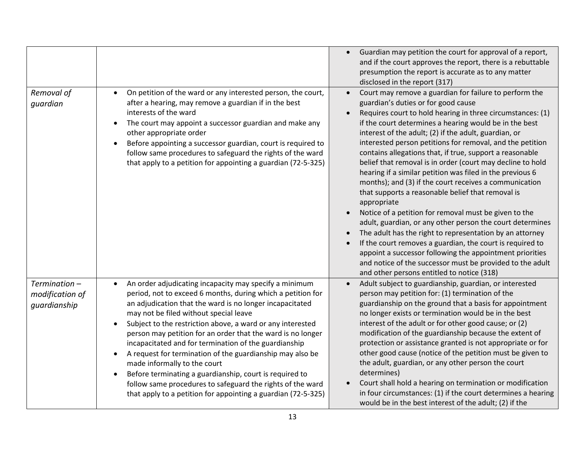|                                                    |                                                                                                                                                                                                                                                                                                                                                                                                                                                                                                                                                                                                                                                                                                                                                 | Guardian may petition the court for approval of a report,<br>and if the court approves the report, there is a rebuttable<br>presumption the report is accurate as to any matter<br>disclosed in the report (317)                                                                                                                                                                                                                                                                                                                                                                                                                                                                                                                                                                                                                                                                                                                                                                                                                                                                                                 |
|----------------------------------------------------|-------------------------------------------------------------------------------------------------------------------------------------------------------------------------------------------------------------------------------------------------------------------------------------------------------------------------------------------------------------------------------------------------------------------------------------------------------------------------------------------------------------------------------------------------------------------------------------------------------------------------------------------------------------------------------------------------------------------------------------------------|------------------------------------------------------------------------------------------------------------------------------------------------------------------------------------------------------------------------------------------------------------------------------------------------------------------------------------------------------------------------------------------------------------------------------------------------------------------------------------------------------------------------------------------------------------------------------------------------------------------------------------------------------------------------------------------------------------------------------------------------------------------------------------------------------------------------------------------------------------------------------------------------------------------------------------------------------------------------------------------------------------------------------------------------------------------------------------------------------------------|
| Removal of<br>guardian                             | On petition of the ward or any interested person, the court,<br>$\bullet$<br>after a hearing, may remove a guardian if in the best<br>interests of the ward<br>The court may appoint a successor guardian and make any<br>$\bullet$<br>other appropriate order<br>Before appointing a successor guardian, court is required to<br>٠<br>follow same procedures to safeguard the rights of the ward<br>that apply to a petition for appointing a guardian (72-5-325)                                                                                                                                                                                                                                                                              | Court may remove a guardian for failure to perform the<br>$\bullet$<br>guardian's duties or for good cause<br>Requires court to hold hearing in three circumstances: (1)<br>if the court determines a hearing would be in the best<br>interest of the adult; (2) if the adult, guardian, or<br>interested person petitions for removal, and the petition<br>contains allegations that, if true, support a reasonable<br>belief that removal is in order (court may decline to hold<br>hearing if a similar petition was filed in the previous 6<br>months); and (3) if the court receives a communication<br>that supports a reasonable belief that removal is<br>appropriate<br>Notice of a petition for removal must be given to the<br>$\bullet$<br>adult, guardian, or any other person the court determines<br>The adult has the right to representation by an attorney<br>If the court removes a guardian, the court is required to<br>appoint a successor following the appointment priorities<br>and notice of the successor must be provided to the adult<br>and other persons entitled to notice (318) |
| $Termination -$<br>modification of<br>guardianship | An order adjudicating incapacity may specify a minimum<br>$\bullet$<br>period, not to exceed 6 months, during which a petition for<br>an adjudication that the ward is no longer incapacitated<br>may not be filed without special leave<br>Subject to the restriction above, a ward or any interested<br>$\bullet$<br>person may petition for an order that the ward is no longer<br>incapacitated and for termination of the guardianship<br>A request for termination of the guardianship may also be<br>$\bullet$<br>made informally to the court<br>Before terminating a guardianship, court is required to<br>follow same procedures to safeguard the rights of the ward<br>that apply to a petition for appointing a guardian (72-5-325) | Adult subject to guardianship, guardian, or interested<br>person may petition for: (1) termination of the<br>guardianship on the ground that a basis for appointment<br>no longer exists or termination would be in the best<br>interest of the adult or for other good cause; or (2)<br>modification of the guardianship because the extent of<br>protection or assistance granted is not appropriate or for<br>other good cause (notice of the petition must be given to<br>the adult, guardian, or any other person the court<br>determines)<br>Court shall hold a hearing on termination or modification<br>in four circumstances: (1) if the court determines a hearing<br>would be in the best interest of the adult; (2) if the                                                                                                                                                                                                                                                                                                                                                                           |